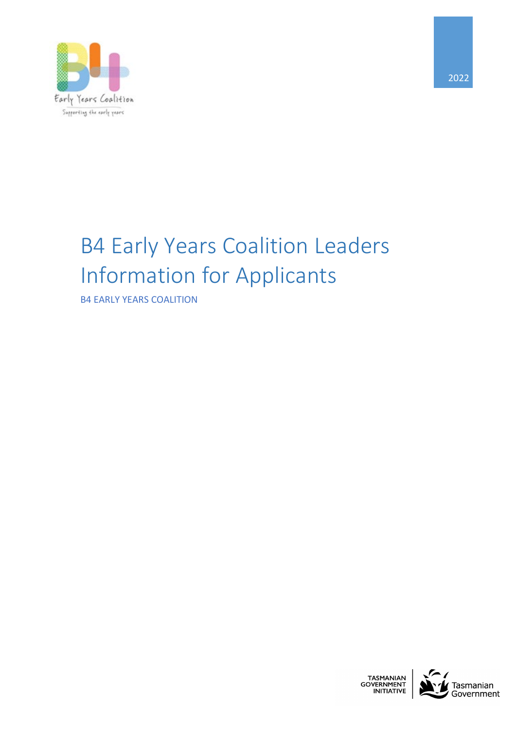

# B4 Early Years Coalition Leaders Information for Applicants

B4 EARLY YEARS COALITION



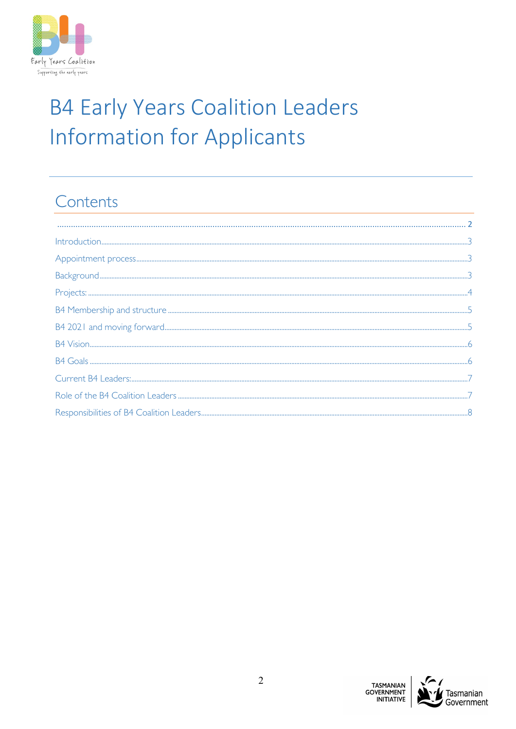

# **B4 Early Years Coalition Leaders Information for Applicants**

# Contents

<span id="page-1-0"></span>

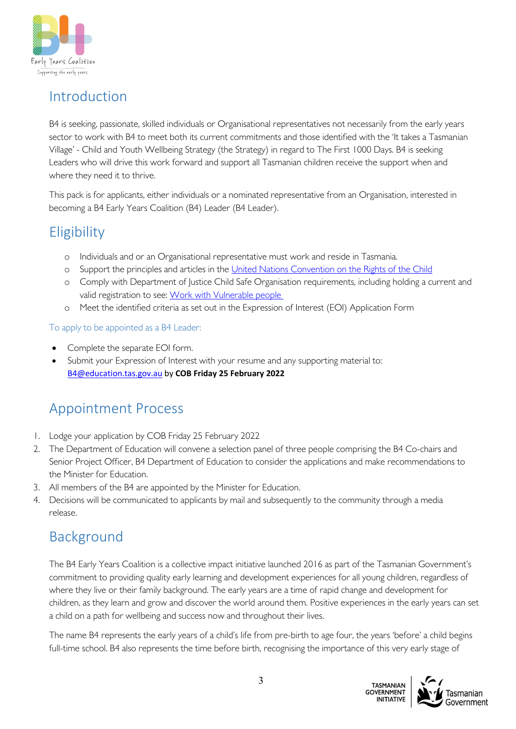

### <span id="page-2-0"></span>Introduction

B4 is seeking, passionate, skilled individuals or Organisational representatives not necessarily from the early years sector to work with B4 to meet both its current commitments and those identified with the 'It takes a Tasmanian Village' - Child and Youth Wellbeing Strategy (the Strategy) in regard to The First 1000 Days. B4 is seeking Leaders who will drive this work forward and support all Tasmanian children receive the support when and where they need it to thrive.

This pack is for applicants, either individuals or a nominated representative from an Organisation, interested in becoming a B4 Early Years Coalition (B4) Leader (B4 Leader).

# **Eligibility**

- o Individuals and or an Organisational representative must work and reside in Tasmania.
- o Support the principles and articles in the [United Nations Convention on the Rights of the Child](https://www.ohchr.org/EN/ProfessionalInterest/Pages/CRC.aspx)
- o Comply with Department of Justice Child Safe Organisation requirements, including holding a current and valid registration to see: [Work with Vulnerable people](https://www.cbos.tas.gov.au/topics/licensing-and-registration/work-with-vulnerable-people/applications/apply)
- o Meet the identified criteria as set out in the Expression of Interest (EOI) Application Form

To apply to be appointed as a B4 Leader:

- Complete the separate EOI form.
- Submit your Expression of Interest with your resume and any supporting material to: [B4@education.tas.gov.au](mailto:B4@education.tas.gov.au) by **COB Friday 25 February 2022**

# <span id="page-2-1"></span>Appointment Process

- 1. Lodge your application by COB Friday 25 February 2022
- 2. The Department of Education will convene a selection panel of three people comprising the B4 Co-chairs and Senior Project Officer, B4 Department of Education to consider the applications and make recommendations to the Minister for Education.
- 3. All members of the B4 are appointed by the Minister for Education.
- 4. Decisions will be communicated to applicants by mail and subsequently to the community through a media release.

# <span id="page-2-2"></span>Background

The B4 Early Years Coalition is a collective impact initiative launched 2016 as part of the Tasmanian Government's commitment to providing quality early learning and development experiences for all young children, regardless of where they live or their family background. The early years are a time of rapid change and development for children, as they learn and grow and discover the world around them. Positive experiences in the early years can set a child on a path for wellbeing and success now and throughout their lives.

The name B4 represents the early years of a child's life from pre-birth to age four, the years 'before' a child begins full-time school. B4 also represents the time before birth, recognising the importance of this very early stage of



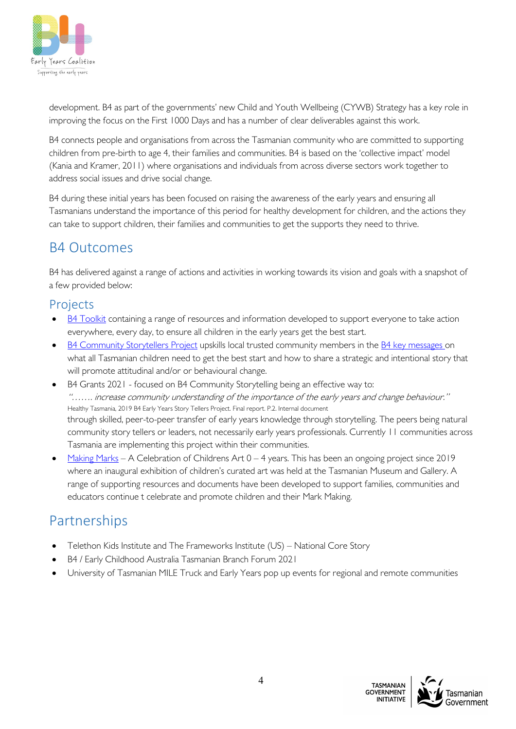

development. B4 as part of the governments' new Child and Youth Wellbeing (CYWB) Strategy has a key role in improving the focus on the First 1000 Days and has a number of clear deliverables against this work.

B4 connects people and organisations from across the Tasmanian community who are committed to supporting children from pre-birth to age 4, their families and communities. B4 is based on the 'collective impact' model (Kania and Kramer, 2011) where organisations and individuals from across diverse sectors work together to address social issues and drive social change.

B4 during these initial years has been focused on raising the awareness of the early years and ensuring all Tasmanians understand the importance of this period for healthy development for children, and the actions they can take to support children, their families and communities to get the supports they need to thrive.

# B4 Outcomes

B4 has delivered against a range of actions and activities in working towards its vision and goals with a snapshot of a few provided below:

#### <span id="page-3-0"></span>Projects

- [B4 Toolkit](https://b4.education.tas.gov.au/resources/the-b4-early-years-toolkit/) containing a range of resources and information developed to support everyone to take action everywhere, every day, to ensure all children in the early years get the best start.
- [B4 Community Storytellers Project](https://b4.education.tas.gov.au/projects/community-story-tellers-project/) upskills local trusted community members in the [B4 key messages o](https://publicdocumentcentre.education.tas.gov.au/library/Shared%20Documents/B4%20The%20Early%20Years%20Story.PDF)n what all Tasmanian children need to get the best start and how to share a strategic and intentional story that will promote attitudinal and/or or behavioural change.
- B4 Grants 2021 focused on B4 Community Storytelling being an effective way to: "……. increase community understanding of the importance of the early years and change behaviour." Healthy Tasmania, 2019 B4 Early Years Story Tellers Project. Final report. P.2. Internal document through skilled, peer-to-peer transfer of early years knowledge through storytelling. The peers being natural community story tellers or leaders, not necessarily early years professionals. Currently 11 communities across Tasmania are implementing this project within their communities.
- [Making Marks](https://b4.education.tas.gov.au/projects/celebrating-childrens-art/) A Celebration of Childrens Art  $0 4$  years. This has been an ongoing project since 2019 where an inaugural exhibition of children's curated art was held at the Tasmanian Museum and Gallery. A range of supporting resources and documents have been developed to support families, communities and educators continue t celebrate and promote children and their Mark Making.

# Partnerships

- Telethon Kids Institute and The Frameworks Institute (US) National Core Story
- B4 / Early Childhood Australia Tasmanian Branch Forum 2021
- <span id="page-3-1"></span>• University of Tasmanian MILE Truck and Early Years pop up events for regional and remote communities

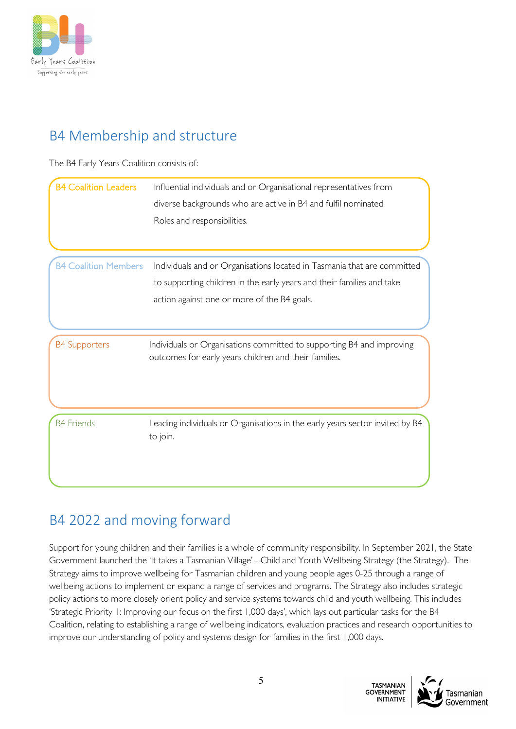

# B4 Membership and structure

The B4 Early Years Coalition consists of:

| <b>B4 Coalition Leaders</b> | Influential individuals and or Organisational representatives from                                                             |
|-----------------------------|--------------------------------------------------------------------------------------------------------------------------------|
|                             | diverse backgrounds who are active in B4 and fulfil nominated                                                                  |
|                             | Roles and responsibilities.                                                                                                    |
|                             |                                                                                                                                |
| <b>B4 Coalition Members</b> | Individuals and or Organisations located in Tasmania that are committed                                                        |
|                             | to supporting children in the early years and their families and take                                                          |
|                             | action against one or more of the B4 goals.                                                                                    |
|                             |                                                                                                                                |
| <b>B4 Supporters</b>        | Individuals or Organisations committed to supporting B4 and improving<br>outcomes for early years children and their families. |
|                             |                                                                                                                                |
| <b>B4 Friends</b>           | Leading individuals or Organisations in the early years sector invited by B4<br>to join.                                       |
|                             |                                                                                                                                |

# <span id="page-4-0"></span>B4 2022 and moving forward

Support for young children and their families is a whole of community responsibility. In September 2021, the State Government launched the 'It takes a Tasmanian Village' - Child and Youth Wellbeing Strategy (the Strategy). The Strategy aims to improve wellbeing for Tasmanian children and young people ages 0-25 through a range of wellbeing actions to implement or expand a range of services and programs. The Strategy also includes strategic policy actions to more closely orient policy and service systems towards child and youth wellbeing. This includes 'Strategic Priority 1: Improving our focus on the first 1,000 days', which lays out particular tasks for the B4 Coalition, relating to establishing a range of wellbeing indicators, evaluation practices and research opportunities to improve our understanding of policy and systems design for families in the first 1,000 days.

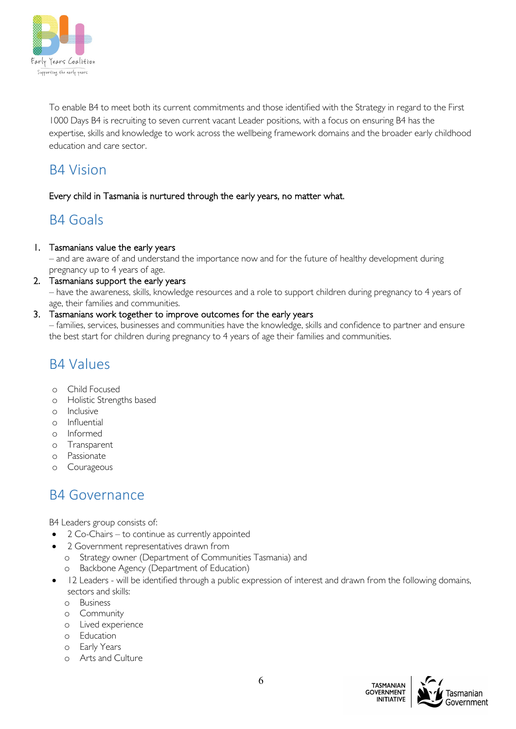

To enable B4 to meet both its current commitments and those identified with the Strategy in regard to the First 1000 Days B4 is recruiting to seven current vacant Leader positions, with a focus on ensuring B4 has the expertise, skills and knowledge to work across the wellbeing framework domains and the broader early childhood education and care sector.

### <span id="page-5-0"></span>B4 Vision

#### Every child in Tasmania is nurtured through the early years, no matter what.

# <span id="page-5-1"></span>B4 Goals

#### 1. Tasmanians value the early years

– and are aware of and understand the importance now and for the future of healthy development during pregnancy up to 4 years of age.

2. Tasmanians support the early years

– have the awareness, skills, knowledge resources and a role to support children during pregnancy to 4 years of age, their families and communities.

#### 3. Tasmanians work together to improve outcomes for the early years

– families, services, businesses and communities have the knowledge, skills and confidence to partner and ensure the best start for children during pregnancy to 4 years of age their families and communities.

### B4 Values

- o Child Focused
- o Holistic Strengths based
- o Inclusive
- o Influential
- o Informed
- o Transparent
- o Passionate
- o Courageous

### B4 Governance

B4 Leaders group consists of:

- 2 Co-Chairs to continue as currently appointed
- 2 Government representatives drawn from
	- o Strategy owner (Department of Communities Tasmania) and
	- o Backbone Agency (Department of Education)
- 12 Leaders will be identified through a public expression of interest and drawn from the following domains, sectors and skills:
	- o Business
	- o Community
	- o Lived experience
	- o Education
	- o Early Years
	- o Arts and Culture

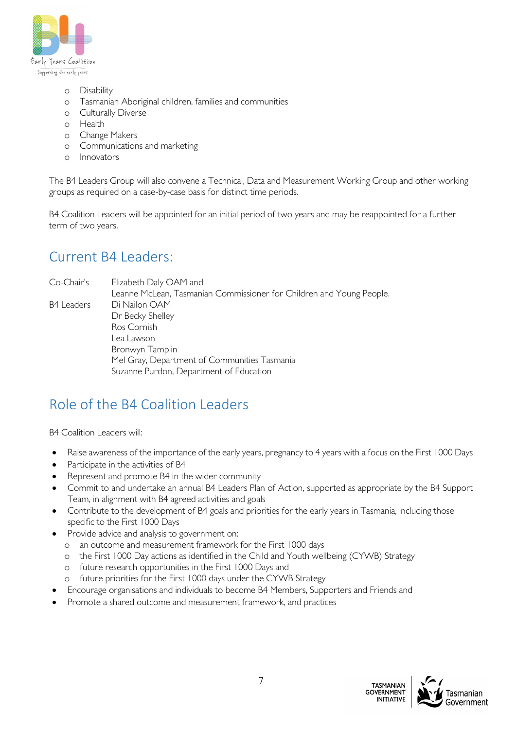

- o Disability
- o Tasmanian Aboriginal children, families and communities
- o Culturally Diverse
- o Health
- o Change Makers
- o Communications and marketing
- o Innovators

The B4 Leaders Group will also convene a Technical, Data and Measurement Working Group and other working groups as required on a case-by-case basis for distinct time periods.

B4 Coalition Leaders will be appointed for an initial period of two years and may be reappointed for a further term of two years.

## <span id="page-6-0"></span>Current B4 Leaders:

Co-Chair's Elizabeth Daly OAM and

Leanne McLean, Tasmanian Commissioner for Children and Young People. B4 Leaders Di Nailon OAM Dr Becky Shelley Ros Cornish Lea Lawson Bronwyn Tamplin Mel Gray, Department of Communities Tasmania Suzanne Purdon, Department of Education

### <span id="page-6-1"></span>Role of the B4 Coalition Leaders

B4 Coalition Leaders will:

- Raise awareness of the importance of the early years, pregnancy to 4 years with a focus on the First 1000 Days
- Participate in the activities of B4
- Represent and promote B4 in the wider community
- Commit to and undertake an annual B4 Leaders Plan of Action, supported as appropriate by the B4 Support Team, in alignment with B4 agreed activities and goals
- Contribute to the development of B4 goals and priorities for the early years in Tasmania, including those specific to the First 1000 Days
- Provide advice and analysis to government on:
	- o an outcome and measurement framework for the First 1000 days
	- o the First 1000 Day actions as identified in the Child and Youth wellbeing (CYWB) Strategy
	- o future research opportunities in the First 1000 Days and
	- o future priorities for the First 1000 days under the CYWB Strategy
	- Encourage organisations and individuals to become B4 Members, Supporters and Friends and
- <span id="page-6-2"></span>• Promote a shared outcome and measurement framework, and practices